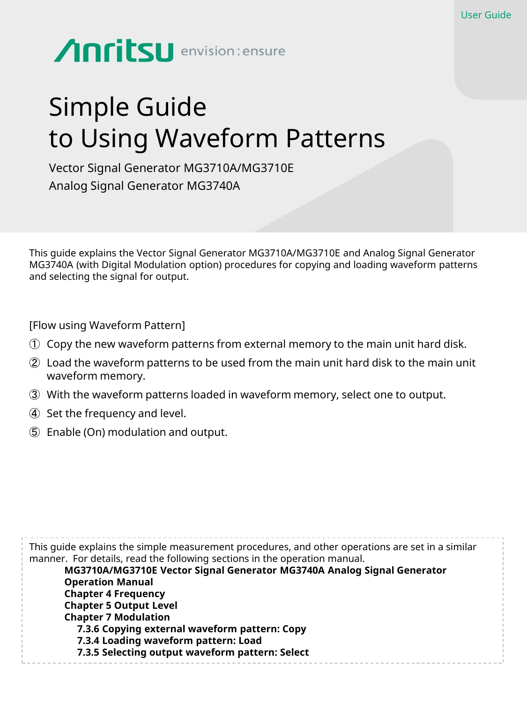# **Anritsu** envision: ensure

# Simple Guide to Using Waveform Patterns

Vector Signal Generator MG3710A/MG3710E Analog Signal Generator MG3740A

This guide explains the Vector Signal Generator MG3710A/MG3710E and Analog Signal Generator MG3740A (with Digital Modulation option) procedures for copying and loading waveform patterns and selecting the signal for output.

[Flow using Waveform Pattern]

- ① Copy the new waveform patterns from external memory to the main unit hard disk.
- ② Load the waveform patterns to be used from the main unit hard disk to the main unit waveform memory.
- ③ With the waveform patterns loaded in waveform memory, select one to output.
- ④ Set the frequency and level.
- ⑤ Enable (On) modulation and output.

This guide explains the simple measurement procedures, and other operations are set in a similar manner. For details, read the following sections in the operation manual. **MG3710A/MG3710E Vector Signal Generator MG3740A Analog Signal Generator Operation Manual Chapter 4 Frequency Chapter 5 Output Level Chapter 7 Modulation 7.3.6 Copying external waveform pattern: Copy 7.3.4 Loading waveform pattern: Load 7.3.5 Selecting output waveform pattern: Select**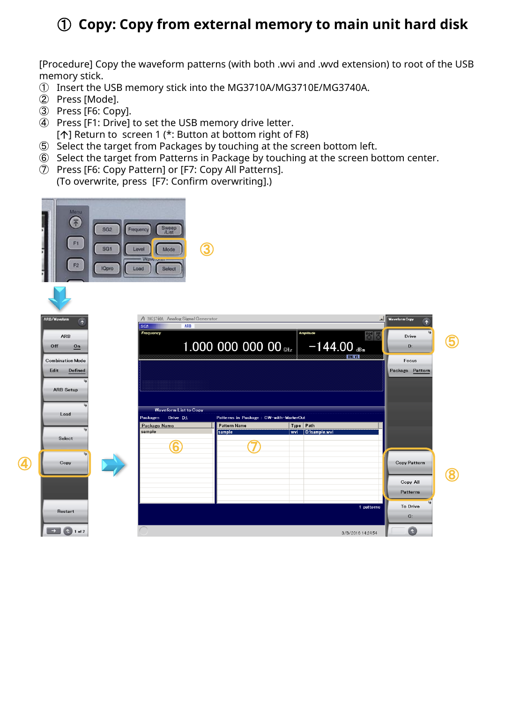## **Copy: Copy from external memory to main unit hard disk**

[Procedure] Copy the waveform patterns (with both .wvi and .wvd extension) to root of the USB memory stick.

- Insert the USB memory stick into the MG3710A/MG3710E/MG3740A.
- Press [Mode].

 $\overline{c}$ 

- Press [F6: Copy].
- Press [F1: Drive] to set the USB memory drive letter. [1] Return to screen 1 (\*: Button at bottom right of F8)
- Select the target from Packages by touching at the screen bottom left.
- Select the target from Patterns in Package by touching at the screen bottom center.
- Press [F6: Copy Pattern] or [F7: Copy All Patterns]. (To overwrite, press [F7: Confirm overwriting].)



| Waveform                                                                                                      | SG1                    | △ MG3740A Analog Signal Generator<br>ARB |                                        |                  |               | ᆂ                 | Waveform Copy<br>$\overline{\overline{}}$ |  |
|---------------------------------------------------------------------------------------------------------------|------------------------|------------------------------------------|----------------------------------------|------------------|---------------|-------------------|-------------------------------------------|--|
| ARB                                                                                                           | Frequency              |                                          |                                        | <b>Amplitude</b> |               |                   | Drive                                     |  |
| lff<br>$\frac{On}{ }$                                                                                         |                        |                                          | 1.000 000 000 00 GHz $-144.00$ GBm     |                  |               |                   | D:                                        |  |
| nbination Mode                                                                                                |                        |                                          |                                        |                  |               | <b>UNLYL</b>      | Focus                                     |  |
| lit<br>Defined                                                                                                |                        |                                          |                                        |                  |               |                   | Package Pattern                           |  |
|                                                                                                               |                        |                                          |                                        |                  |               |                   |                                           |  |
| <b>ARB Setup</b>                                                                                              |                        |                                          |                                        |                  |               |                   |                                           |  |
|                                                                                                               |                        | Waveform List to Copy                    |                                        |                  |               |                   |                                           |  |
| Load                                                                                                          | Packages               | Drive D:\                                | Patterns in Package: CW-with-MarkerOut |                  |               |                   |                                           |  |
|                                                                                                               | Package Name<br>sample |                                          | <b>Pattern Name</b><br>sample          | Type Path<br>wvi | D:\sample.wvi |                   |                                           |  |
| Select                                                                                                        |                        |                                          |                                        |                  |               |                   |                                           |  |
| خا                                                                                                            |                        | h                                        |                                        |                  |               |                   |                                           |  |
| Copy                                                                                                          |                        |                                          |                                        |                  |               |                   | Copy Pattern                              |  |
|                                                                                                               |                        |                                          |                                        |                  |               |                   |                                           |  |
|                                                                                                               |                        |                                          |                                        |                  |               |                   | Copy All                                  |  |
|                                                                                                               |                        |                                          |                                        |                  |               |                   | Patterns                                  |  |
| Restart                                                                                                       |                        |                                          |                                        |                  |               | 1 patterns        | To Drive                                  |  |
|                                                                                                               |                        |                                          |                                        |                  |               |                   | $C$ :                                     |  |
| $\left( \begin{array}{c} 1 \\ 1 \end{array} \right)$ and $\left( \begin{array}{c} 2 \\ 1 \end{array} \right)$ |                        |                                          |                                        |                  |               | 3/8/2016 14:24:54 | $\triangle$                               |  |
|                                                                                                               |                        |                                          |                                        |                  |               |                   |                                           |  |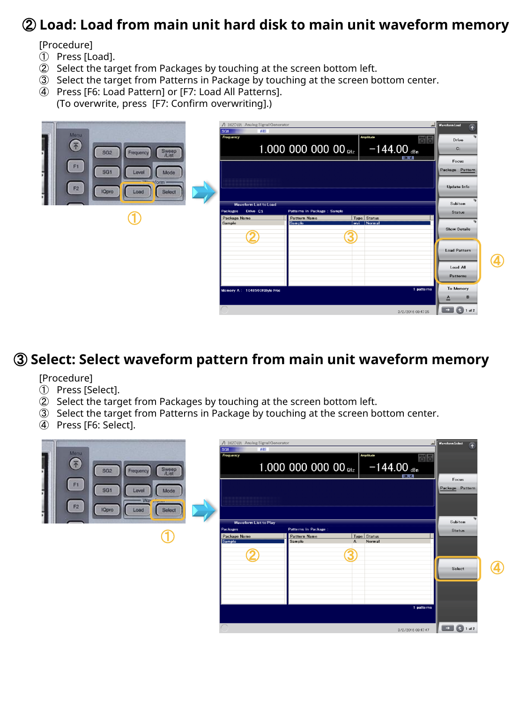#### **Load: Load from main unit hard disk to main unit waveform memory**

[Procedure]

- Press [Load].
- Select the target from Packages by touching at the screen bottom left.
- Select the target from Patterns in Package by touching at the screen bottom center.
- Press [F6: Load Pattern] or [F7: Load All Patterns]. (To overwrite, press [F7: Confirm overwriting].)

|                                                           | / MG3740A Analog Signal Generator<br>ARB<br>SG1 |                                                     | ᆈ                            | <b>Waveform Load</b>     |    |  |
|-----------------------------------------------------------|-------------------------------------------------|-----------------------------------------------------|------------------------------|--------------------------|----|--|
| Monu:<br>不                                                | Frequency                                       |                                                     | Amplitude<br>$\frac{Mod}{C}$ | Drive                    |    |  |
| Sweep<br>Alst<br>SG <sub>2</sub><br>Frequency             |                                                 | 1.000 000 000 00 GHz $-144.00$ dBm                  | <b>TUTTERE</b>               | $C$ :                    |    |  |
| F1<br>SG <sub>1</sub><br>Mode<br>Level                    |                                                 |                                                     |                              | Focus<br>Package Pattern |    |  |
| <b>TRANSMORTH</b><br>F2<br><b>IQpro</b><br>Select<br>Load |                                                 |                                                     |                              |                          |    |  |
|                                                           | Waveform List to Load                           | Subitem                                             |                              |                          |    |  |
|                                                           | Packages Drive C:\<br>Package Name              | Patterns in Package : Sample<br><b>Pattern Name</b> | Type Status                  | <b>Status</b>            |    |  |
|                                                           | Sample<br>τ.<br>◢                               | Sample<br>3                                         | wvi Normal                   | <b>Show Details</b>      |    |  |
|                                                           |                                                 |                                                     |                              | <b>Load Pattern</b>      |    |  |
|                                                           |                                                 |                                                     |                              | Load All                 | 4) |  |
|                                                           |                                                 |                                                     |                              | Patterns                 |    |  |
|                                                           | Memory A: 1048560KByte Free                     |                                                     | 1 patterns                   | To Memory                |    |  |
|                                                           |                                                 |                                                     |                              | B<br>≙                   |    |  |
|                                                           |                                                 |                                                     | 3/2/2016 09:47:35            | $\bullet$ 1 of 2         |    |  |

#### **Select: Select waveform pattern from main unit waveform memory**

[Procedure]

- Press [Select].
- Select the target from Packages by touching at the screen bottom left.
- Select the target from Patterns in Package by touching at the screen bottom center.
- Press [F6: Select].